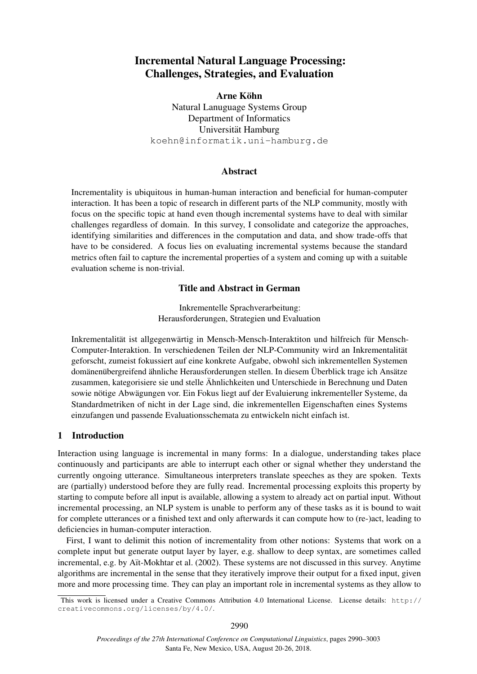# Incremental Natural Language Processing: Challenges, Strategies, and Evaluation

Arne Köhn Natural Lanuguage Systems Group Department of Informatics Universität Hamburg [koehn@informatik.uni-hamburg.de](mailto:koehn@informatik.uni-hamburg.de)

### Abstract

Incrementality is ubiquitous in human-human interaction and beneficial for human-computer interaction. It has been a topic of research in different parts of the NLP community, mostly with focus on the specific topic at hand even though incremental systems have to deal with similar challenges regardless of domain. In this survey, I consolidate and categorize the approaches, identifying similarities and differences in the computation and data, and show trade-offs that have to be considered. A focus lies on evaluating incremental systems because the standard metrics often fail to capture the incremental properties of a system and coming up with a suitable evaluation scheme is non-trivial.

## Title and Abstract in German

Inkrementelle Sprachverarbeitung: Herausforderungen, Strategien und Evaluation

Inkrementalität ist allgegenwärtig in Mensch-Mensch-Interaktiton und hilfreich für Mensch-Computer-Interaktion. In verschiedenen Teilen der NLP-Community wird an Inkrementalitat¨ geforscht, zumeist fokussiert auf eine konkrete Aufgabe, obwohl sich inkrementellen Systemen domänenübergreifend ähnliche Herausforderungen stellen. In diesem Überblick trage ich Ansätze zusammen, kategorisiere sie und stelle Ähnlichkeiten und Unterschiede in Berechnung und Daten sowie nötige Abwägungen vor. Ein Fokus liegt auf der Evaluierung inkrementeller Systeme, da Standardmetriken of nicht in der Lage sind, die inkrementellen Eigenschaften eines Systems einzufangen und passende Evaluationsschemata zu entwickeln nicht einfach ist.

## 1 Introduction

Interaction using language is incremental in many forms: In a dialogue, understanding takes place continuously and participants are able to interrupt each other or signal whether they understand the currently ongoing utterance. Simultaneous interpreters translate speeches as they are spoken. Texts are (partially) understood before they are fully read. Incremental processing exploits this property by starting to compute before all input is available, allowing a system to already act on partial input. Without incremental processing, an NLP system is unable to perform any of these tasks as it is bound to wait for complete utterances or a finished text and only afterwards it can compute how to (re-)act, leading to deficiencies in human-computer interaction.

First, I want to delimit this notion of incrementality from other notions: Systems that work on a complete input but generate output layer by layer, e.g. shallow to deep syntax, are sometimes called incremental, e.g. by Aït-Mokhtar et al. (2002). These systems are not discussed in this survey. Anytime algorithms are incremental in the sense that they iteratively improve their output for a fixed input, given more and more processing time. They can play an important role in incremental systems as they allow to

This work is licensed under a Creative Commons Attribution 4.0 International License. License details: [http://](http://creativecommons.org/licenses/by/4.0/) [creativecommons.org/licenses/by/4.0/](http://creativecommons.org/licenses/by/4.0/).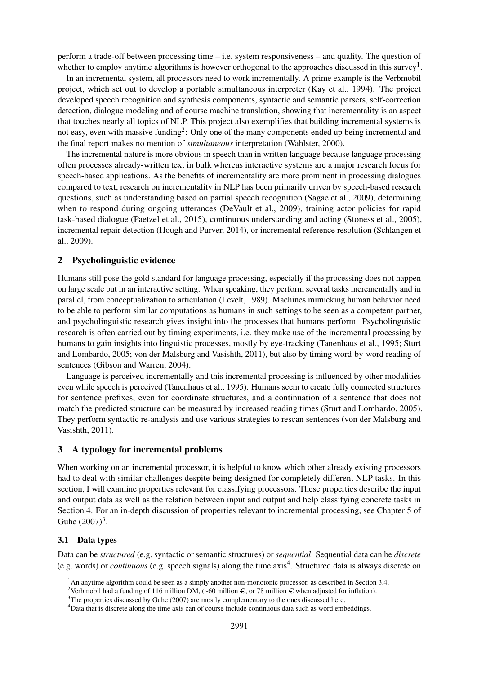perform a trade-off between processing time – i.e. system responsiveness – and quality. The question of whether to employ anytime algorithms is however orthogonal to the approaches discussed in this survey<sup>[1](#page-1-0)</sup>.

In an incremental system, all processors need to work incrementally. A prime example is the Verbmobil project, which set out to develop a portable simultaneous interpreter [\(Kay et al., 1994\)](#page-11-0). The project developed speech recognition and synthesis components, syntactic and semantic parsers, self-correction detection, dialogue modeling and of course machine translation, showing that incrementality is an aspect that touches nearly all topics of NLP. This project also exemplifies that building incremental systems is not easy, even with massive funding<sup>[2](#page-1-1)</sup>: Only one of the many components ended up being incremental and the final report makes no mention of *simultaneous* interpretation [\(Wahlster, 2000\)](#page-13-0).

The incremental nature is more obvious in speech than in written language because language processing often processes already-written text in bulk whereas interactive systems are a major research focus for speech-based applications. As the benefits of incrementality are more prominent in processing dialogues compared to text, research on incrementality in NLP has been primarily driven by speech-based research questions, such as understanding based on partial speech recognition [\(Sagae et al., 2009\)](#page-12-0), determining when to respond during ongoing utterances [\(DeVault et al., 2009\)](#page-10-1), training actor policies for rapid task-based dialogue [\(Paetzel et al., 2015\)](#page-12-1), continuous understanding and acting [\(Stoness et al., 2005\)](#page-12-2), incremental repair detection [\(Hough and Purver, 2014\)](#page-11-1), or incremental reference resolution [\(Schlangen et](#page-12-3) [al., 2009\)](#page-12-3).

### 2 Psycholinguistic evidence

Humans still pose the gold standard for language processing, especially if the processing does not happen on large scale but in an interactive setting. When speaking, they perform several tasks incrementally and in parallel, from conceptualization to articulation [\(Levelt, 1989\)](#page-11-2). Machines mimicking human behavior need to be able to perform similar computations as humans in such settings to be seen as a competent partner, and psycholinguistic research gives insight into the processes that humans perform. Psycholinguistic research is often carried out by timing experiments, i.e. they make use of the incremental processing by humans to gain insights into linguistic processes, mostly by eye-tracking [\(Tanenhaus et al., 1995;](#page-12-4) [Sturt](#page-12-5) [and Lombardo, 2005;](#page-12-5) [von der Malsburg and Vasishth, 2011\)](#page-12-6), but also by timing word-by-word reading of sentences [\(Gibson and Warren, 2004\)](#page-10-2).

Language is perceived incrementally and this incremental processing is influenced by other modalities even while speech is perceived [\(Tanenhaus et al., 1995\)](#page-12-4). Humans seem to create fully connected structures for sentence prefixes, even for coordinate structures, and a continuation of a sentence that does not match the predicted structure can be measured by increased reading times [\(Sturt and Lombardo, 2005\)](#page-12-5). They perform syntactic re-analysis and use various strategies to rescan sentences [\(von der Malsburg and](#page-12-6) [Vasishth, 2011\)](#page-12-6).

### 3 A typology for incremental problems

When working on an incremental processor, it is helpful to know which other already existing processors had to deal with similar challenges despite being designed for completely different NLP tasks. In this section, I will examine properties relevant for classifying processors. These properties describe the input and output data as well as the relation between input and output and help classifying concrete tasks in Section [4.](#page-3-0) For an in-depth discussion of properties relevant to incremental processing, see Chapter 5 of Guhe  $(2007)^3$  $(2007)^3$ .

#### 3.1 Data types

Data can be *structured* (e.g. syntactic or semantic structures) or *sequential*. Sequential data can be *discrete* (e.g. words) or *continuous* (e.g. speech signals) along the time axis[4](#page-1-3) . Structured data is always discrete on

<span id="page-1-0"></span><sup>&</sup>lt;sup>1</sup>An anytime algorithm could be seen as a simply another non-monotonic processor, as described in Section [3.4.](#page-3-1)

<span id="page-1-1"></span><sup>&</sup>lt;sup>2</sup>Verbmobil had a funding of 116 million DM,  $({\sim}60$  million  $\epsilon$ , or 78 million  $\epsilon$  when adjusted for inflation).

<span id="page-1-2"></span> $3$ The properties discussed by [Guhe \(2007\)](#page-11-3) are mostly complementary to the ones discussed here.

<span id="page-1-3"></span><sup>4</sup>Data that is discrete along the time axis can of course include continuous data such as word embeddings.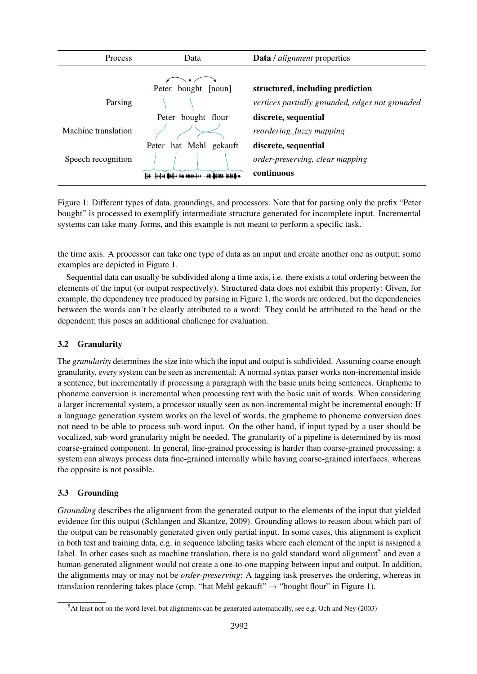| Process             | Data                                        | <b>Data</b> / <i>alignment</i> properties       |
|---------------------|---------------------------------------------|-------------------------------------------------|
|                     |                                             |                                                 |
|                     | Peter<br>bought<br>$\lfloor$ noun $\rfloor$ | structured, including prediction                |
| Parsing             |                                             | vertices partially grounded, edges not grounded |
|                     | bought flour<br>Peter                       | discrete, sequential                            |
| Machine translation |                                             | reordering, fuzzy mapping                       |
|                     | hat Mehl<br>gekauft<br>Peter                | discrete, sequential                            |
| Speech recognition  |                                             | order-preserving, clear mapping                 |
|                     | <b>ARABHAN MADA</b>                         | continuous                                      |

<span id="page-2-0"></span>Figure 1: Different types of data, groundings, and processors. Note that for parsing only the prefix "Peter bought" is processed to exemplify intermediate structure generated for incomplete input. Incremental systems can take many forms, and this example is not meant to perform a specific task.

the time axis. A processor can take one type of data as an input and create another one as output; some examples are depicted in Figure [1.](#page-2-0)

Sequential data can usually be subdivided along a time axis, i.e. there exists a total ordering between the elements of the input (or output respectively). Structured data does not exhibit this property: Given, for example, the dependency tree produced by parsing in Figure [1,](#page-2-0) the words are ordered, but the dependencies between the words can't be clearly attributed to a word: They could be attributed to the head or the dependent; this poses an additional challenge for evaluation.

## 3.2 Granularity

The *granularity* determines the size into which the input and output is subdivided. Assuming coarse enough granularity, every system can be seen as incremental: A normal syntax parser works non-incremental inside a sentence, but incrementally if processing a paragraph with the basic units being sentences. Grapheme to phoneme conversion is incremental when processing text with the basic unit of words. When considering a larger incremental system, a processor usually seen as non-incremental might be incremental enough: If a language generation system works on the level of words, the grapheme to phoneme conversion does not need to be able to process sub-word input. On the other hand, if input typed by a user should be vocalized, sub-word granularity might be needed. The granularity of a pipeline is determined by its most coarse-grained component. In general, fine-grained processing is harder than coarse-grained processing; a system can always process data fine-grained internally while having coarse-grained interfaces, whereas the opposite is not possible.

## 3.3 Grounding

*Grounding* describes the alignment from the generated output to the elements of the input that yielded evidence for this output [\(Schlangen and Skantze, 2009\)](#page-12-7). Grounding allows to reason about which part of the output can be reasonably generated given only partial input. In some cases, this alignment is explicit in both test and training data, e.g. in sequence labeling tasks where each element of the input is assigned a label. In other cases such as machine translation, there is no gold standard word alignment<sup>[5](#page-2-1)</sup> and even a human-generated alignment would not create a one-to-one mapping between input and output. In addition, the alignments may or may not be *order-preserving*: A tagging task preserves the ordering, whereas in translation reordering takes place (cmp. "hat Mehl gekauft"  $\rightarrow$  "bought flour" in Figure [1\)](#page-2-0).

<span id="page-2-1"></span><sup>5</sup>At least not on the word level, but alignments can be generated automatically, see e.g. [Och and Ney \(2003\)](#page-12-8)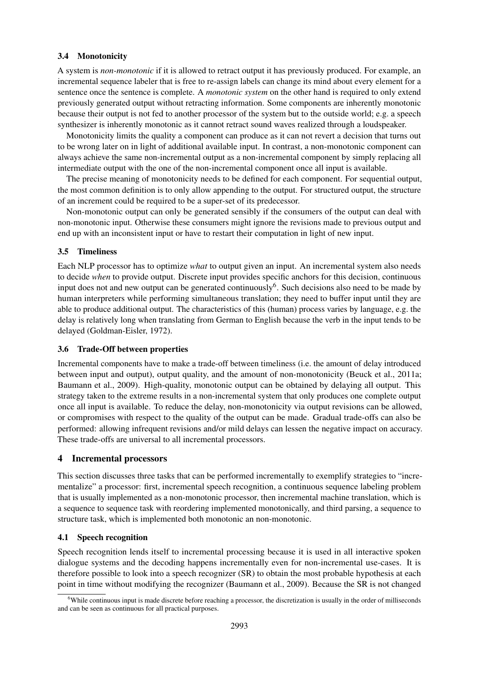### <span id="page-3-1"></span>3.4 Monotonicity

A system is *non-monotonic* if it is allowed to retract output it has previously produced. For example, an incremental sequence labeler that is free to re-assign labels can change its mind about every element for a sentence once the sentence is complete. A *monotonic system* on the other hand is required to only extend previously generated output without retracting information. Some components are inherently monotonic because their output is not fed to another processor of the system but to the outside world; e.g. a speech synthesizer is inherently monotonic as it cannot retract sound waves realized through a loudspeaker.

Monotonicity limits the quality a component can produce as it can not revert a decision that turns out to be wrong later on in light of additional available input. In contrast, a non-monotonic component can always achieve the same non-incremental output as a non-incremental component by simply replacing all intermediate output with the one of the non-incremental component once all input is available.

The precise meaning of monotonicity needs to be defined for each component. For sequential output, the most common definition is to only allow appending to the output. For structured output, the structure of an increment could be required to be a super-set of its predecessor.

Non-monotonic output can only be generated sensibly if the consumers of the output can deal with non-monotonic input. Otherwise these consumers might ignore the revisions made to previous output and end up with an inconsistent input or have to restart their computation in light of new input.

#### 3.5 Timeliness

Each NLP processor has to optimize *what* to output given an input. An incremental system also needs to decide *when* to provide output. Discrete input provides specific anchors for this decision, continuous input does not and new output can be generated continuously<sup>[6](#page-3-2)</sup>. Such decisions also need to be made by human interpreters while performing simultaneous translation; they need to buffer input until they are able to produce additional output. The characteristics of this (human) process varies by language, e.g. the delay is relatively long when translating from German to English because the verb in the input tends to be delayed [\(Goldman-Eisler, 1972\)](#page-10-3).

#### <span id="page-3-4"></span>3.6 Trade-Off between properties

Incremental components have to make a trade-off between timeliness (i.e. the amount of delay introduced between input and output), output quality, and the amount of non-monotonicity [\(Beuck et al., 2011a;](#page-10-4) [Baumann et al., 2009\)](#page-10-5). High-quality, monotonic output can be obtained by delaying all output. This strategy taken to the extreme results in a non-incremental system that only produces one complete output once all input is available. To reduce the delay, non-monotonicity via output revisions can be allowed, or compromises with respect to the quality of the output can be made. Gradual trade-offs can also be performed: allowing infrequent revisions and/or mild delays can lessen the negative impact on accuracy. These trade-offs are universal to all incremental processors.

### <span id="page-3-0"></span>4 Incremental processors

This section discusses three tasks that can be performed incrementally to exemplify strategies to "incrementalize" a processor: first, incremental speech recognition, a continuous sequence labeling problem that is usually implemented as a non-monotonic processor, then incremental machine translation, which is a sequence to sequence task with reordering implemented monotonically, and third parsing, a sequence to structure task, which is implemented both monotonic an non-monotonic.

#### <span id="page-3-3"></span>4.1 Speech recognition

Speech recognition lends itself to incremental processing because it is used in all interactive spoken dialogue systems and the decoding happens incrementally even for non-incremental use-cases. It is therefore possible to look into a speech recognizer (SR) to obtain the most probable hypothesis at each point in time without modifying the recognizer [\(Baumann et al., 2009\)](#page-10-5). Because the SR is not changed

<span id="page-3-2"></span> $6$ While continuous input is made discrete before reaching a processor, the discretization is usually in the order of milliseconds and can be seen as continuous for all practical purposes.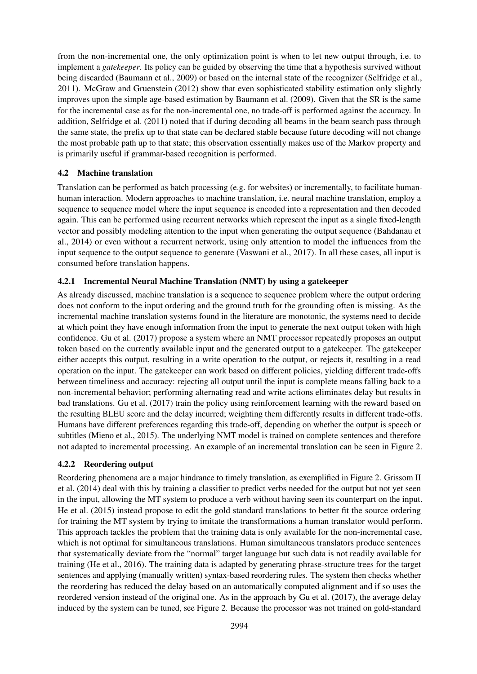from the non-incremental one, the only optimization point is when to let new output through, i.e. to implement a *gatekeeper*. Its policy can be guided by observing the time that a hypothesis survived without being discarded [\(Baumann et al., 2009\)](#page-10-5) or based on the internal state of the recognizer [\(Selfridge et al.,](#page-12-9) [2011\)](#page-12-9). [McGraw and Gruenstein \(2012\)](#page-11-4) show that even sophisticated stability estimation only slightly improves upon the simple age-based estimation by [Baumann et al. \(2009\)](#page-10-5). Given that the SR is the same for the incremental case as for the non-incremental one, no trade-off is performed against the accuracy. In addition, [Selfridge et al. \(2011\)](#page-12-9) noted that if during decoding all beams in the beam search pass through the same state, the prefix up to that state can be declared stable because future decoding will not change the most probable path up to that state; this observation essentially makes use of the Markov property and is primarily useful if grammar-based recognition is performed.

## 4.2 Machine translation

Translation can be performed as batch processing (e.g. for websites) or incrementally, to facilitate humanhuman interaction. Modern approaches to machine translation, i.e. neural machine translation, employ a sequence to sequence model where the input sequence is encoded into a representation and then decoded again. This can be performed using recurrent networks which represent the input as a single fixed-length vector and possibly modeling attention to the input when generating the output sequence [\(Bahdanau et](#page-10-6) [al., 2014\)](#page-10-6) or even without a recurrent network, using only attention to model the influences from the input sequence to the output sequence to generate [\(Vaswani et al., 2017\)](#page-12-10). In all these cases, all input is consumed before translation happens.

## <span id="page-4-1"></span>4.2.1 Incremental Neural Machine Translation (NMT) by using a gatekeeper

As already discussed, machine translation is a sequence to sequence problem where the output ordering does not conform to the input ordering and the ground truth for the grounding often is missing. As the incremental machine translation systems found in the literature are monotonic, the systems need to decide at which point they have enough information from the input to generate the next output token with high confidence. [Gu et al. \(2017\)](#page-11-5) propose a system where an NMT processor repeatedly proposes an output token based on the currently available input and the generated output to a gatekeeper. The gatekeeper either accepts this output, resulting in a write operation to the output, or rejects it, resulting in a read operation on the input. The gatekeeper can work based on different policies, yielding different trade-offs between timeliness and accuracy: rejecting all output until the input is complete means falling back to a non-incremental behavior; performing alternating read and write actions eliminates delay but results in bad translations. [Gu et al. \(2017\)](#page-11-5) train the policy using reinforcement learning with the reward based on the resulting BLEU score and the delay incurred; weighting them differently results in different trade-offs. Humans have different preferences regarding this trade-off, depending on whether the output is speech or subtitles [\(Mieno et al., 2015\)](#page-12-11). The underlying NMT model is trained on complete sentences and therefore not adapted to incremental processing. An example of an incremental translation can be seen in Figure [2.](#page-5-0)

## <span id="page-4-0"></span>4.2.2 Reordering output

Reordering phenomena are a major hindrance to timely translation, as exemplified in Figure [2.](#page-5-0) [Grissom II](#page-11-6) [et al. \(2014\)](#page-11-6) deal with this by training a classifier to predict verbs needed for the output but not yet seen in the input, allowing the MT system to produce a verb without having seen its counterpart on the input. [He et al. \(2015\)](#page-11-7) instead propose to edit the gold standard translations to better fit the source ordering for training the MT system by trying to imitate the transformations a human translator would perform. This approach tackles the problem that the training data is only available for the non-incremental case, which is not optimal for simultaneous translations. Human simultaneous translators produce sentences that systematically deviate from the "normal" target language but such data is not readily available for training [\(He et al., 2016\)](#page-11-8). The training data is adapted by generating phrase-structure trees for the target sentences and applying (manually written) syntax-based reordering rules. The system then checks whether the reordering has reduced the delay based on an automatically computed alignment and if so uses the reordered version instead of the original one. As in the approach by [Gu et al. \(2017\)](#page-11-5), the average delay induced by the system can be tuned, see Figure [2.](#page-5-0) Because the processor was not trained on gold-standard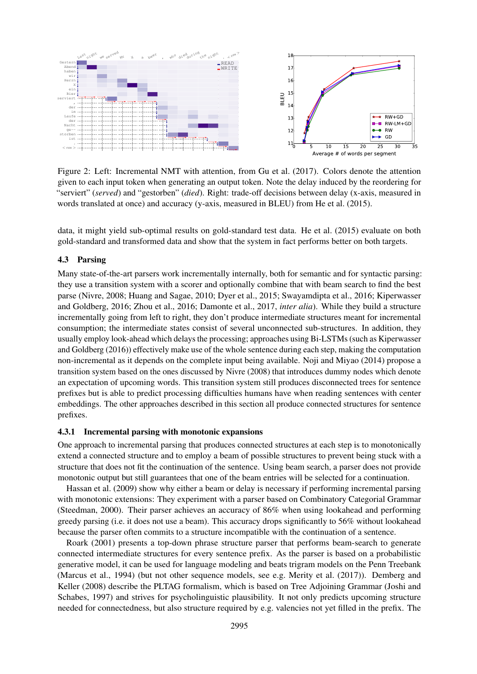

<span id="page-5-0"></span>Figure 2: Left: Incremental NMT with attention, from [Gu et al. \(2017\)](#page-11-5). Colors denote the attention given to each input token when generating an output token. Note the delay induced by the reordering for "serviert" (*served*) and "gestorben" (*died*). Right: trade-off decisions between delay (x-axis, measured in words translated at once) and accuracy (y-axis, measured in BLEU) from [He et al. \(2015\)](#page-11-7).

data, it might yield sub-optimal results on gold-standard test data. [He et al. \(2015\)](#page-11-7) evaluate on both gold-standard and transformed data and show that the system in fact performs better on both targets.

#### 4.3 Parsing

Many state-of-the-art parsers work incrementally internally, both for semantic and for syntactic parsing: they use a transition system with a scorer and optionally combine that with beam search to find the best parse [\(Nivre, 2008;](#page-12-12) [Huang and Sagae, 2010;](#page-11-9) [Dyer et al., 2015;](#page-10-7) [Swayamdipta et al., 2016;](#page-12-13) [Kiperwasser](#page-11-10) [and Goldberg, 2016;](#page-11-10) [Zhou et al., 2016;](#page-13-1) [Damonte et al., 2017,](#page-10-8) *inter alia*). While they build a structure incrementally going from left to right, they don't produce intermediate structures meant for incremental consumption; the intermediate states consist of several unconnected sub-structures. In addition, they usually employ look-ahead which delays the processing; approaches using Bi-LSTMs (such as [Kiperwasser](#page-11-10) [and Goldberg \(2016\)](#page-11-10)) effectively make use of the whole sentence during each step, making the computation non-incremental as it depends on the complete input being available. [Noji and Miyao \(2014\)](#page-12-14) propose a transition system based on the ones discussed by [Nivre \(2008\)](#page-12-12) that introduces dummy nodes which denote an expectation of upcoming words. This transition system still produces disconnected trees for sentence prefixes but is able to predict processing difficulties humans have when reading sentences with center embeddings. The other approaches described in this section all produce connected structures for sentence prefixes.

#### <span id="page-5-1"></span>4.3.1 Incremental parsing with monotonic expansions

One approach to incremental parsing that produces connected structures at each step is to monotonically extend a connected structure and to employ a beam of possible structures to prevent being stuck with a structure that does not fit the continuation of the sentence. Using beam search, a parser does not provide monotonic output but still guarantees that one of the beam entries will be selected for a continuation.

[Hassan et al. \(2009\)](#page-11-11) show why either a beam or delay is necessary if performing incremental parsing with monotonic extensions: They experiment with a parser based on Combinatory Categorial Grammar [\(Steedman, 2000\)](#page-12-15). Their parser achieves an accuracy of 86% when using lookahead and performing greedy parsing (i.e. it does not use a beam). This accuracy drops significantly to 56% without lookahead because the parser often commits to a structure incompatible with the continuation of a sentence.

[Roark \(2001\)](#page-12-16) presents a top-down phrase structure parser that performs beam-search to generate connected intermediate structures for every sentence prefix. As the parser is based on a probabilistic generative model, it can be used for language modeling and beats trigram models on the Penn Treebank [\(Marcus et al., 1994\)](#page-11-12) (but not other sequence models, see e.g. [Merity et al. \(2017\)](#page-11-13)). [Demberg and](#page-10-9) [Keller \(2008\)](#page-10-9) describe the PLTAG formalism, which is based on Tree Adjoining Grammar [\(Joshi and](#page-11-14) [Schabes, 1997\)](#page-11-14) and strives for psycholinguistic plausibility. It not only predicts upcoming structure needed for connectedness, but also structure required by e.g. valencies not yet filled in the prefix. The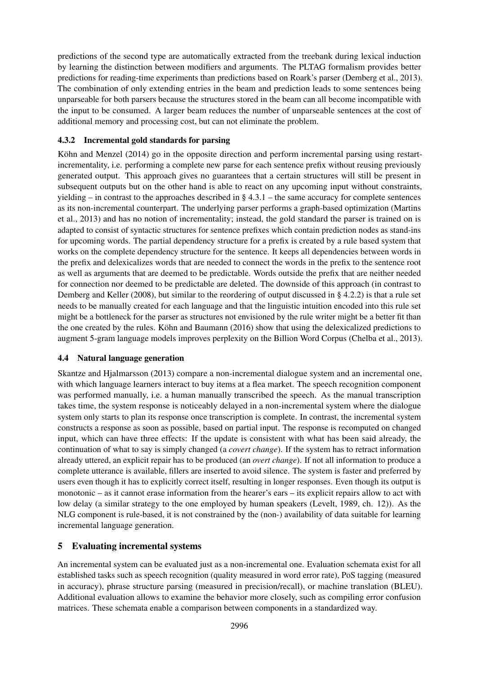predictions of the second type are automatically extracted from the treebank during lexical induction by learning the distinction between modifiers and arguments. The PLTAG formalism provides better predictions for reading-time experiments than predictions based on Roark's parser [\(Demberg et al., 2013\)](#page-10-10). The combination of only extending entries in the beam and prediction leads to some sentences being unparseable for both parsers because the structures stored in the beam can all become incompatible with the input to be consumed. A larger beam reduces the number of unparseable sentences at the cost of additional memory and processing cost, but can not eliminate the problem.

## <span id="page-6-0"></span>4.3.2 Incremental gold standards for parsing

Köhn and Menzel  $(2014)$  go in the opposite direction and perform incremental parsing using restartincrementality, i.e. performing a complete new parse for each sentence prefix without reusing previously generated output. This approach gives no guarantees that a certain structures will still be present in subsequent outputs but on the other hand is able to react on any upcoming input without constraints, yielding – in contrast to the approaches described in § [4.3.1](#page-5-1) – the same accuracy for complete sentences as its non-incremental counterpart. The underlying parser performs a graph-based optimization [\(Martins](#page-11-16) [et al., 2013\)](#page-11-16) and has no notion of incrementality; instead, the gold standard the parser is trained on is adapted to consist of syntactic structures for sentence prefixes which contain prediction nodes as stand-ins for upcoming words. The partial dependency structure for a prefix is created by a rule based system that works on the complete dependency structure for the sentence. It keeps all dependencies between words in the prefix and delexicalizes words that are needed to connect the words in the prefix to the sentence root as well as arguments that are deemed to be predictable. Words outside the prefix that are neither needed for connection nor deemed to be predictable are deleted. The downside of this approach (in contrast to [Demberg and Keller \(2008\)](#page-10-9), but similar to the reordering of output discussed in § [4.2.2\)](#page-4-0) is that a rule set needs to be manually created for each language and that the linguistic intuition encoded into this rule set might be a bottleneck for the parser as structures not envisioned by the rule writer might be a better fit than the one created by the rules. Köhn and Baumann (2016) show that using the delexicalized predictions to augment 5-gram language models improves perplexity on the Billion Word Corpus [\(Chelba et al., 2013\)](#page-10-11).

### <span id="page-6-1"></span>4.4 Natural language generation

[Skantze and Hjalmarsson \(2013\)](#page-12-17) compare a non-incremental dialogue system and an incremental one, with which language learners interact to buy items at a flea market. The speech recognition component was performed manually, i.e. a human manually transcribed the speech. As the manual transcription takes time, the system response is noticeably delayed in a non-incremental system where the dialogue system only starts to plan its response once transcription is complete. In contrast, the incremental system constructs a response as soon as possible, based on partial input. The response is recomputed on changed input, which can have three effects: If the update is consistent with what has been said already, the continuation of what to say is simply changed (a *covert change*). If the system has to retract information already uttered, an explicit repair has to be produced (an *overt change*). If not all information to produce a complete utterance is available, fillers are inserted to avoid silence. The system is faster and preferred by users even though it has to explicitly correct itself, resulting in longer responses. Even though its output is monotonic – as it cannot erase information from the hearer's ears – its explicit repairs allow to act with low delay (a similar strategy to the one employed by human speakers [\(Levelt, 1989,](#page-11-2) ch. 12)). As the NLG component is rule-based, it is not constrained by the (non-) availability of data suitable for learning incremental language generation.

### 5 Evaluating incremental systems

An incremental system can be evaluated just as a non-incremental one. Evaluation schemata exist for all established tasks such as speech recognition (quality measured in word error rate), PoS tagging (measured in accuracy), phrase structure parsing (measured in precision/recall), or machine translation (BLEU). Additional evaluation allows to examine the behavior more closely, such as compiling error confusion matrices. These schemata enable a comparison between components in a standardized way.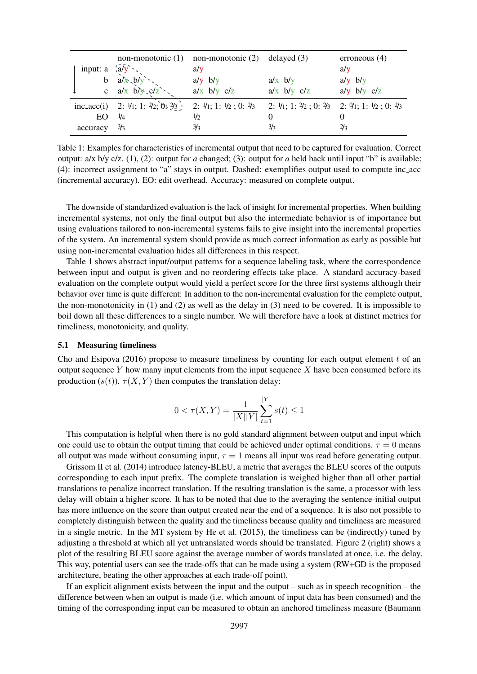|                                             |                                           | non-monotonic $(1)$ non-monotonic $(2)$ delayed $(3)$ |                                                               | erroneous $(4)$ |
|---------------------------------------------|-------------------------------------------|-------------------------------------------------------|---------------------------------------------------------------|-----------------|
| input: a $\langle a/\overline{y} \rangle$ , |                                           | a/v                                                   |                                                               | a/v             |
|                                             | b $a/x$ , $b/y$ ,                         | $a/y$ b/y                                             | $a/x$ b/y                                                     | $a/y$ b/y       |
|                                             | c $a/x$ $b/y$ , $c/z$ ,                   | $a/x$ b/y $c/z$                                       | $a/x$ b/y $c/z$                                               | $a/y$ b/y $c/z$ |
|                                             | inc_acc(i) 2: $1/1$ ; 1: $2/2$ ; 0: $2/3$ | 2: $1/1$ ; 1: $1/2$ ; 0: $2/3$                        | 2: $1/1$ ; 1: $2/2$ ; 0: $2/3$ 2: $9/1$ ; 1: $1/2$ ; 0: $2/3$ |                 |
| EО                                          | $\frac{1}{4}$                             | 1/2                                                   | $\theta$                                                      |                 |
| accuracy                                    | $\frac{3}{3}$                             | $\frac{3}{3}$                                         | 3/3                                                           | $\frac{2}{3}$   |

<span id="page-7-0"></span>Table 1: Examples for characteristics of incremental output that need to be captured for evaluation. Correct output: a/x b/y c/z. (1), (2): output for *a* changed; (3): output for *a* held back until input "b" is available; (4): incorrect assignment to "a" stays in output. Dashed: exemplifies output used to compute inc acc (incremental accuracy). EO: edit overhead. Accuracy: measured on complete output.

The downside of standardized evaluation is the lack of insight for incremental properties. When building incremental systems, not only the final output but also the intermediate behavior is of importance but using evaluations tailored to non-incremental systems fails to give insight into the incremental properties of the system. An incremental system should provide as much correct information as early as possible but using non-incremental evaluation hides all differences in this respect.

Table [1](#page-7-0) shows abstract input/output patterns for a sequence labeling task, where the correspondence between input and output is given and no reordering effects take place. A standard accuracy-based evaluation on the complete output would yield a perfect score for the three first systems although their behavior over time is quite different: In addition to the non-incremental evaluation for the complete output, the non-monotonicity in  $(1)$  and  $(2)$  as well as the delay in  $(3)$  need to be covered. It is impossible to boil down all these differences to a single number. We will therefore have a look at distinct metrics for timeliness, monotonicity, and quality.

#### <span id="page-7-1"></span>5.1 Measuring timeliness

[Cho and Esipova \(2016\)](#page-10-12) propose to measure timeliness by counting for each output element  $t_0$  of an output sequence  $Y$  how many input elements from the input sequence  $X$  have been consumed before its production  $(s(t))$ .  $\tau(X, Y)$  then computes the translation delay:

$$
0 < \tau(X, Y) = \frac{1}{|X||Y|} \sum_{t=1}^{|Y|} s(t) \le 1
$$

This computation is helpful when there is no gold standard alignment between output and input which one could use to obtain the output timing that could be achieved under optimal conditions.  $\tau = 0$  means all output was made without consuming input,  $\tau = 1$  means all input was read before generating output.

[Grissom II et al. \(2014\)](#page-11-6) introduce latency-BLEU, a metric that averages the BLEU scores of the outputs corresponding to each input prefix. The complete translation is weighed higher than all other partial translations to penalize incorrect translation. If the resulting translation is the same, a processor with less delay will obtain a higher score. It has to be noted that due to the averaging the sentence-initial output has more influence on the score than output created near the end of a sequence. It is also not possible to completely distinguish between the quality and the timeliness because quality and timeliness are measured in a single metric. In the MT system by [He et al. \(2015\)](#page-11-7), the timeliness can be (indirectly) tuned by adjusting a threshold at which all yet untranslated words should be translated. Figure [2](#page-5-0) (right) shows a plot of the resulting BLEU score against the average number of words translated at once, i.e. the delay. This way, potential users can see the trade-offs that can be made using a system (RW+GD is the proposed architecture, beating the other approaches at each trade-off point).

If an explicit alignment exists between the input and the output – such as in speech recognition – the difference between when an output is made (i.e. which amount of input data has been consumed) and the timing of the corresponding input can be measured to obtain an anchored timeliness measure [\(Baumann](#page-10-13)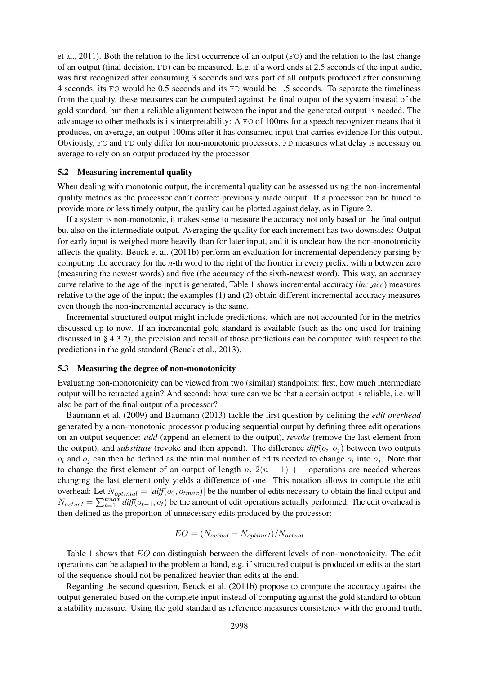[et al., 2011\)](#page-10-13). Both the relation to the first occurrence of an output (FO) and the relation to the last change of an output (final decision, FD) can be measured. E.g. if a word ends at 2.5 seconds of the input audio, was first recognized after consuming 3 seconds and was part of all outputs produced after consuming 4 seconds, its FO would be 0.5 seconds and its FD would be 1.5 seconds. To separate the timeliness from the quality, these measures can be computed against the final output of the system instead of the gold standard, but then a reliable alignment between the input and the generated output is needed. The advantage to other methods is its interpretability: A FO of 100ms for a speech recognizer means that it produces, on average, an output 100ms after it has consumed input that carries evidence for this output. Obviously, FO and FD only differ for non-monotonic processors; FD measures what delay is necessary on average to rely on an output produced by the processor.

#### <span id="page-8-0"></span>5.2 Measuring incremental quality

When dealing with monotonic output, the incremental quality can be assessed using the non-incremental quality metrics as the processor can't correct previously made output. If a processor can be tuned to provide more or less timely output, the quality can be plotted against delay, as in Figure [2.](#page-5-0)

If a system is non-monotonic, it makes sense to measure the accuracy not only based on the final output but also on the intermediate output. Averaging the quality for each increment has two downsides: Output for early input is weighed more heavily than for later input, and it is unclear how the non-monotonicity affects the quality. [Beuck et al. \(2011b\)](#page-10-14) perform an evaluation for incremental dependency parsing by computing the accuracy for the *n*-th word to the right of the frontier in every prefix, with n between zero (measuring the newest words) and five (the accuracy of the sixth-newest word). This way, an accuracy curve relative to the age of the input is generated, Table [1](#page-7-0) shows incremental accuracy (*inc acc*) measures relative to the age of the input; the examples (1) and (2) obtain different incremental accuracy measures even though the non-incremental accuracy is the same.

Incremental structured output might include predictions, which are not accounted for in the metrics discussed up to now. If an incremental gold standard is available (such as the one used for training discussed in § [4.3.2\)](#page-6-0), the precision and recall of those predictions can be computed with respect to the predictions in the gold standard [\(Beuck et al., 2013\)](#page-10-15).

#### <span id="page-8-1"></span>5.3 Measuring the degree of non-monotonicity

Evaluating non-monotonicity can be viewed from two (similar) standpoints: first, how much intermediate output will be retracted again? And second: how sure can we be that a certain output is reliable, i.e. will also be part of the final output of a processor?

[Baumann et al. \(2009\)](#page-10-5) and [Baumann \(2013\)](#page-10-16) tackle the first question by defining the *edit overhead* generated by a non-monotonic processor producing sequential output by defining three edit operations on an output sequence: *add* (append an element to the output), *revoke* (remove the last element from the output), and *substitute* (revoke and then append). The difference  $\text{diff}(o_i, o_j)$  between two outputs  $o_i$  and  $o_j$  can then be defined as the minimal number of edits needed to change  $o_i$  into  $o_j$ . Note that to change the first element of an output of length  $n$ ,  $2(n - 1) + 1$  operations are needed whereas changing the last element only yields a difference of one. This notation allows to compute the edit overhead: Let  $N_{optimal} = |diff(o_0, o_{tmax})|$  be the number of edits necessary to obtain the final output and  $N_{actual} = \sum_{t=1}^{tmax} diff(o_{t-1}, o_t)$  be the amount of edit operations actually performed. The edit overhead is then defined as the proportion of unnecessary edits produced by the processor:

$$
EO = (N_{actual} - N_{optimal})/N_{actual}
$$

Table [1](#page-7-0) shows that EO can distinguish between the different levels of non-monotonicity. The edit operations can be adapted to the problem at hand, e.g. if structured output is produced or edits at the start of the sequence should not be penalized heavier than edits at the end.

Regarding the second question, [Beuck et al. \(2011b\)](#page-10-14) propose to compute the accuracy against the output generated based on the complete input instead of computing against the gold standard to obtain a stability measure. Using the gold standard as reference measures consistency with the ground truth,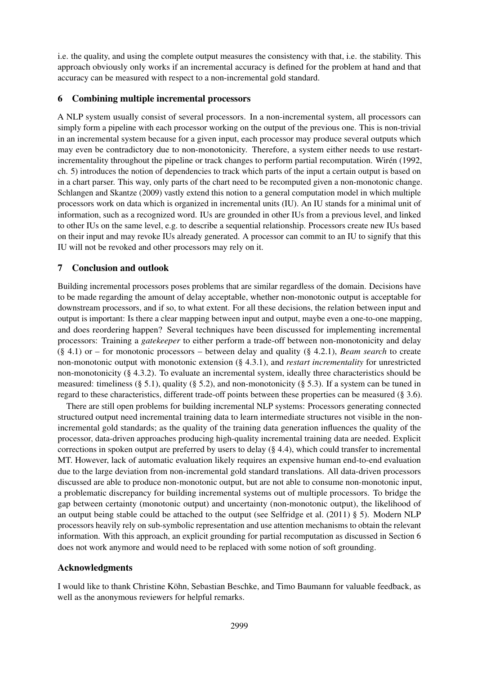i.e. the quality, and using the complete output measures the consistency with that, i.e. the stability. This approach obviously only works if an incremental accuracy is defined for the problem at hand and that accuracy can be measured with respect to a non-incremental gold standard.

## <span id="page-9-0"></span>6 Combining multiple incremental processors

A NLP system usually consist of several processors. In a non-incremental system, all processors can simply form a pipeline with each processor working on the output of the previous one. This is non-trivial in an incremental system because for a given input, each processor may produce several outputs which may even be contradictory due to non-monotonicity. Therefore, a system either needs to use restart-incrementality throughout the pipeline or track changes to perform partial recomputation. [Wiren \(1992,](#page-13-2) ch. 5) introduces the notion of dependencies to track which parts of the input a certain output is based on in a chart parser. This way, only parts of the chart need to be recomputed given a non-monotonic change. [Schlangen and Skantze \(2009\)](#page-12-7) vastly extend this notion to a general computation model in which multiple processors work on data which is organized in incremental units (IU). An IU stands for a minimal unit of information, such as a recognized word. IUs are grounded in other IUs from a previous level, and linked to other IUs on the same level, e.g. to describe a sequential relationship. Processors create new IUs based on their input and may revoke IUs already generated. A processor can commit to an IU to signify that this IU will not be revoked and other processors may rely on it.

## 7 Conclusion and outlook

Building incremental processors poses problems that are similar regardless of the domain. Decisions have to be made regarding the amount of delay acceptable, whether non-monotonic output is acceptable for downstream processors, and if so, to what extent. For all these decisions, the relation between input and output is important: Is there a clear mapping between input and output, maybe even a one-to-one mapping, and does reordering happen? Several techniques have been discussed for implementing incremental processors: Training a *gatekeeper* to either perform a trade-off between non-monotonicity and delay (§ [4.1\)](#page-3-3) or – for monotonic processors – between delay and quality (§ [4.2.1\)](#page-4-1), *Beam search* to create non-monotonic output with monotonic extension (§ [4.3.1\)](#page-5-1), and *restart incrementality* for unrestricted non-monotonicity (§ [4.3.2\)](#page-6-0). To evaluate an incremental system, ideally three characteristics should be measured: timeliness (§ [5.1\)](#page-7-1), quality (§ [5.2\)](#page-8-0), and non-monotonicity (§ [5.3\)](#page-8-1). If a system can be tuned in regard to these characteristics, different trade-off points between these properties can be measured (§ [3.6\)](#page-3-4).

There are still open problems for building incremental NLP systems: Processors generating connected structured output need incremental training data to learn intermediate structures not visible in the nonincremental gold standards; as the quality of the training data generation influences the quality of the processor, data-driven approaches producing high-quality incremental training data are needed. Explicit corrections in spoken output are preferred by users to delay (§ [4.4\)](#page-6-1), which could transfer to incremental MT. However, lack of automatic evaluation likely requires an expensive human end-to-end evaluation due to the large deviation from non-incremental gold standard translations. All data-driven processors discussed are able to produce non-monotonic output, but are not able to consume non-monotonic input, a problematic discrepancy for building incremental systems out of multiple processors. To bridge the gap between certainty (monotonic output) and uncertainty (non-monotonic output), the likelihood of an output being stable could be attached to the output (see [Selfridge et al. \(2011\)](#page-12-9)  $\S$  5). Modern NLP processors heavily rely on sub-symbolic representation and use attention mechanisms to obtain the relevant information. With this approach, an explicit grounding for partial recomputation as discussed in Section [6](#page-9-0) does not work anymore and would need to be replaced with some notion of soft grounding.

## Acknowledgments

I would like to thank Christine Kohn, Sebastian Beschke, and Timo Baumann for valuable feedback, as ¨ well as the anonymous reviewers for helpful remarks.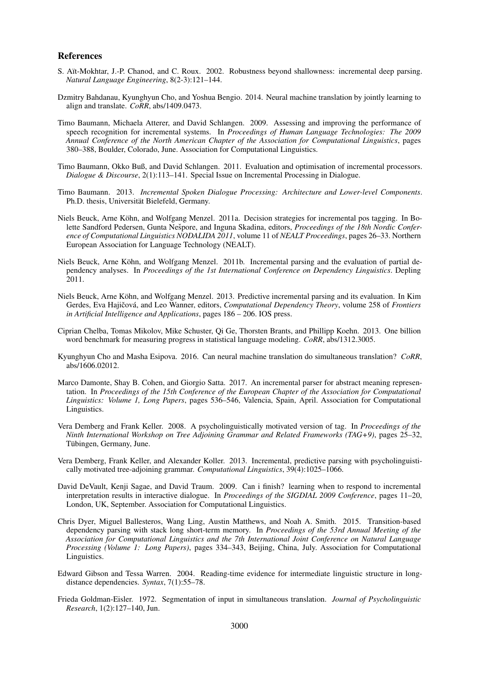#### References

- <span id="page-10-0"></span>S. Aït-Mokhtar, J.-P. Chanod, and C. Roux. 2002. Robustness beyond shallowness: incremental deep parsing. *Natural Language Engineering*, 8(2-3):121–144.
- <span id="page-10-6"></span>Dzmitry Bahdanau, Kyunghyun Cho, and Yoshua Bengio. 2014. Neural machine translation by jointly learning to align and translate. *CoRR*, abs/1409.0473.
- <span id="page-10-5"></span>Timo Baumann, Michaela Atterer, and David Schlangen. 2009. Assessing and improving the performance of speech recognition for incremental systems. In *Proceedings of Human Language Technologies: The 2009 Annual Conference of the North American Chapter of the Association for Computational Linguistics*, pages 380–388, Boulder, Colorado, June. Association for Computational Linguistics.
- <span id="page-10-13"></span>Timo Baumann, Okko Buß, and David Schlangen. 2011. Evaluation and optimisation of incremental processors. *Dialogue & Discourse*, 2(1):113–141. Special Issue on Incremental Processing in Dialogue.
- <span id="page-10-16"></span>Timo Baumann. 2013. *Incremental Spoken Dialogue Processing: Architecture and Lower-level Components*. Ph.D. thesis, Universität Bielefeld, Germany.
- <span id="page-10-4"></span>Niels Beuck, Arne Köhn, and Wolfgang Menzel. 2011a. Decision strategies for incremental pos tagging. In Bolette Sandford Pedersen, Gunta Nešpore, and Inguna Skadina, editors, *Proceedings of the 18th Nordic Conference of Computational Linguistics NODALIDA 2011*, volume 11 of *NEALT Proceedings*, pages 26–33. Northern European Association for Language Technology (NEALT).
- <span id="page-10-14"></span>Niels Beuck, Arne Köhn, and Wolfgang Menzel. 2011b. Incremental parsing and the evaluation of partial dependency analyses. In *Proceedings of the 1st International Conference on Dependency Linguistics*. Depling 2011.
- <span id="page-10-15"></span>Niels Beuck, Arne Kohn, and Wolfgang Menzel. 2013. Predictive incremental parsing and its evaluation. In Kim ¨ Gerdes, Eva Hajičová, and Leo Wanner, editors, *Computational Dependency Theory*, volume 258 of *Frontiers in Artificial Intelligence and Applications*, pages 186 – 206. IOS press.
- <span id="page-10-11"></span>Ciprian Chelba, Tomas Mikolov, Mike Schuster, Qi Ge, Thorsten Brants, and Phillipp Koehn. 2013. One billion word benchmark for measuring progress in statistical language modeling. *CoRR*, abs/1312.3005.
- <span id="page-10-12"></span>Kyunghyun Cho and Masha Esipova. 2016. Can neural machine translation do simultaneous translation? *CoRR*, abs/1606.02012.
- <span id="page-10-8"></span>Marco Damonte, Shay B. Cohen, and Giorgio Satta. 2017. An incremental parser for abstract meaning representation. In *Proceedings of the 15th Conference of the European Chapter of the Association for Computational Linguistics: Volume 1, Long Papers*, pages 536–546, Valencia, Spain, April. Association for Computational Linguistics.
- <span id="page-10-9"></span>Vera Demberg and Frank Keller. 2008. A psycholinguistically motivated version of tag. In *Proceedings of the Ninth International Workshop on Tree Adjoining Grammar and Related Frameworks (TAG+9)*, pages 25–32, Tübingen, Germany, June.
- <span id="page-10-10"></span>Vera Demberg, Frank Keller, and Alexander Koller. 2013. Incremental, predictive parsing with psycholinguistically motivated tree-adjoining grammar. *Computational Linguistics*, 39(4):1025–1066.
- <span id="page-10-1"></span>David DeVault, Kenji Sagae, and David Traum. 2009. Can i finish? learning when to respond to incremental interpretation results in interactive dialogue. In *Proceedings of the SIGDIAL 2009 Conference*, pages 11–20, London, UK, September. Association for Computational Linguistics.
- <span id="page-10-7"></span>Chris Dyer, Miguel Ballesteros, Wang Ling, Austin Matthews, and Noah A. Smith. 2015. Transition-based dependency parsing with stack long short-term memory. In *Proceedings of the 53rd Annual Meeting of the Association for Computational Linguistics and the 7th International Joint Conference on Natural Language Processing (Volume 1: Long Papers)*, pages 334–343, Beijing, China, July. Association for Computational Linguistics.
- <span id="page-10-2"></span>Edward Gibson and Tessa Warren. 2004. Reading-time evidence for intermediate linguistic structure in longdistance dependencies. *Syntax*, 7(1):55–78.
- <span id="page-10-3"></span>Frieda Goldman-Eisler. 1972. Segmentation of input in simultaneous translation. *Journal of Psycholinguistic Research*, 1(2):127–140, Jun.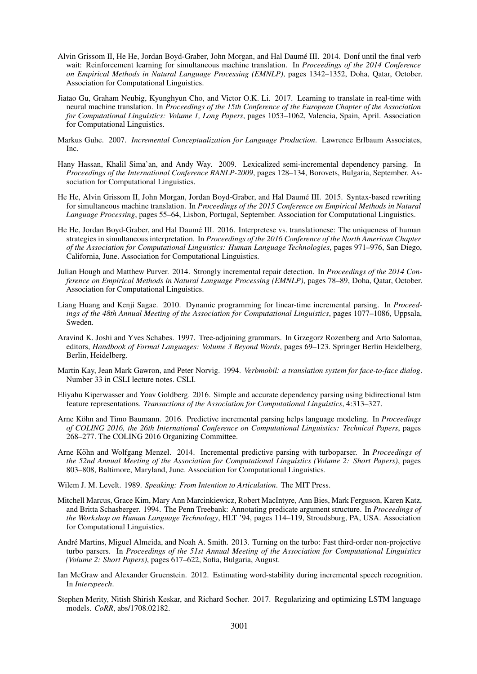- <span id="page-11-6"></span>Alvin Grissom II, He He, Jordan Boyd-Graber, John Morgan, and Hal Daumé III. 2014. Dont until the final verb wait: Reinforcement learning for simultaneous machine translation. In *Proceedings of the 2014 Conference on Empirical Methods in Natural Language Processing (EMNLP)*, pages 1342–1352, Doha, Qatar, October. Association for Computational Linguistics.
- <span id="page-11-5"></span>Jiatao Gu, Graham Neubig, Kyunghyun Cho, and Victor O.K. Li. 2017. Learning to translate in real-time with neural machine translation. In *Proceedings of the 15th Conference of the European Chapter of the Association for Computational Linguistics: Volume 1, Long Papers*, pages 1053–1062, Valencia, Spain, April. Association for Computational Linguistics.
- <span id="page-11-3"></span>Markus Guhe. 2007. *Incremental Conceptualization for Language Production*. Lawrence Erlbaum Associates, Inc.
- <span id="page-11-11"></span>Hany Hassan, Khalil Sima'an, and Andy Way. 2009. Lexicalized semi-incremental dependency parsing. In *Proceedings of the International Conference RANLP-2009*, pages 128–134, Borovets, Bulgaria, September. Association for Computational Linguistics.
- <span id="page-11-7"></span>He He, Alvin Grissom II, John Morgan, Jordan Boyd-Graber, and Hal Daumé III. 2015. Syntax-based rewriting for simultaneous machine translation. In *Proceedings of the 2015 Conference on Empirical Methods in Natural Language Processing*, pages 55–64, Lisbon, Portugal, September. Association for Computational Linguistics.
- <span id="page-11-8"></span>He He, Jordan Boyd-Graber, and Hal Daumé III. 2016. Interpretese vs. translationese: The uniqueness of human strategies in simultaneous interpretation. In *Proceedings of the 2016 Conference of the North American Chapter of the Association for Computational Linguistics: Human Language Technologies*, pages 971–976, San Diego, California, June. Association for Computational Linguistics.
- <span id="page-11-1"></span>Julian Hough and Matthew Purver. 2014. Strongly incremental repair detection. In *Proceedings of the 2014 Conference on Empirical Methods in Natural Language Processing (EMNLP)*, pages 78–89, Doha, Qatar, October. Association for Computational Linguistics.
- <span id="page-11-9"></span>Liang Huang and Kenji Sagae. 2010. Dynamic programming for linear-time incremental parsing. In *Proceedings of the 48th Annual Meeting of the Association for Computational Linguistics*, pages 1077–1086, Uppsala, Sweden.
- <span id="page-11-14"></span>Aravind K. Joshi and Yves Schabes. 1997. Tree-adjoining grammars. In Grzegorz Rozenberg and Arto Salomaa, editors, *Handbook of Formal Languages: Volume 3 Beyond Words*, pages 69–123. Springer Berlin Heidelberg, Berlin, Heidelberg.
- <span id="page-11-0"></span>Martin Kay, Jean Mark Gawron, and Peter Norvig. 1994. *Verbmobil: a translation system for face-to-face dialog*. Number 33 in CSLI lecture notes. CSLI.
- <span id="page-11-10"></span>Eliyahu Kiperwasser and Yoav Goldberg. 2016. Simple and accurate dependency parsing using bidirectional lstm feature representations. *Transactions of the Association for Computational Linguistics*, 4:313–327.
- <span id="page-11-17"></span>Arne Köhn and Timo Baumann. 2016. Predictive incremental parsing helps language modeling. In Proceedings *of COLING 2016, the 26th International Conference on Computational Linguistics: Technical Papers*, pages 268–277. The COLING 2016 Organizing Committee.
- <span id="page-11-15"></span>Arne Köhn and Wolfgang Menzel. 2014. Incremental predictive parsing with turboparser. In *Proceedings of the 52nd Annual Meeting of the Association for Computational Linguistics (Volume 2: Short Papers)*, pages 803–808, Baltimore, Maryland, June. Association for Computational Linguistics.
- <span id="page-11-2"></span>Wilem J. M. Levelt. 1989. *Speaking: From Intention to Articulation*. The MIT Press.
- <span id="page-11-12"></span>Mitchell Marcus, Grace Kim, Mary Ann Marcinkiewicz, Robert MacIntyre, Ann Bies, Mark Ferguson, Karen Katz, and Britta Schasberger. 1994. The Penn Treebank: Annotating predicate argument structure. In *Proceedings of the Workshop on Human Language Technology*, HLT '94, pages 114–119, Stroudsburg, PA, USA. Association for Computational Linguistics.
- <span id="page-11-16"></span>Andre Martins, Miguel Almeida, and Noah A. Smith. 2013. Turning on the turbo: Fast third-order non-projective ´ turbo parsers. In *Proceedings of the 51st Annual Meeting of the Association for Computational Linguistics (Volume 2: Short Papers)*, pages 617–622, Sofia, Bulgaria, August.
- <span id="page-11-4"></span>Ian McGraw and Alexander Gruenstein. 2012. Estimating word-stability during incremental speech recognition. In *Interspeech*.
- <span id="page-11-13"></span>Stephen Merity, Nitish Shirish Keskar, and Richard Socher. 2017. Regularizing and optimizing LSTM language models. *CoRR*, abs/1708.02182.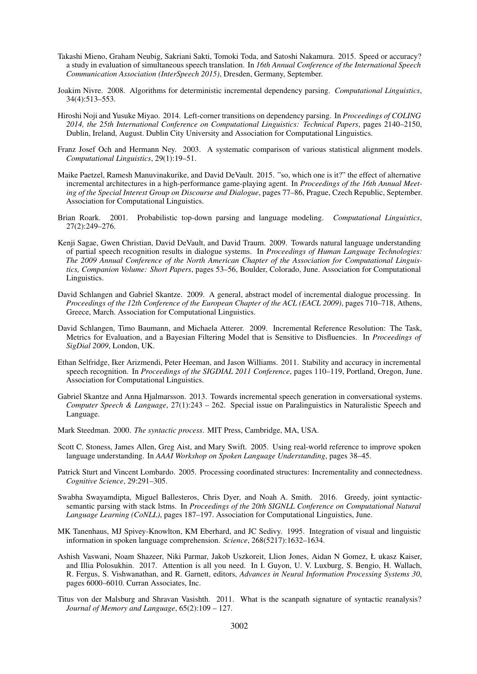- <span id="page-12-11"></span>Takashi Mieno, Graham Neubig, Sakriani Sakti, Tomoki Toda, and Satoshi Nakamura. 2015. Speed or accuracy? a study in evaluation of simultaneous speech translation. In *16th Annual Conference of the International Speech Communication Association (InterSpeech 2015)*, Dresden, Germany, September.
- <span id="page-12-12"></span>Joakim Nivre. 2008. Algorithms for deterministic incremental dependency parsing. *Computational Linguistics*, 34(4):513–553.
- <span id="page-12-14"></span>Hiroshi Noji and Yusuke Miyao. 2014. Left-corner transitions on dependency parsing. In *Proceedings of COLING 2014, the 25th International Conference on Computational Linguistics: Technical Papers*, pages 2140–2150, Dublin, Ireland, August. Dublin City University and Association for Computational Linguistics.
- <span id="page-12-8"></span>Franz Josef Och and Hermann Ney. 2003. A systematic comparison of various statistical alignment models. *Computational Linguistics*, 29(1):19–51.
- <span id="page-12-1"></span>Maike Paetzel, Ramesh Manuvinakurike, and David DeVault. 2015. "so, which one is it?" the effect of alternative incremental architectures in a high-performance game-playing agent. In *Proceedings of the 16th Annual Meeting of the Special Interest Group on Discourse and Dialogue*, pages 77–86, Prague, Czech Republic, September. Association for Computational Linguistics.
- <span id="page-12-16"></span>Brian Roark. 2001. Probabilistic top-down parsing and language modeling. *Computational Linguistics*, 27(2):249–276.
- <span id="page-12-0"></span>Kenji Sagae, Gwen Christian, David DeVault, and David Traum. 2009. Towards natural language understanding of partial speech recognition results in dialogue systems. In *Proceedings of Human Language Technologies: The 2009 Annual Conference of the North American Chapter of the Association for Computational Linguistics, Companion Volume: Short Papers*, pages 53–56, Boulder, Colorado, June. Association for Computational Linguistics.
- <span id="page-12-7"></span>David Schlangen and Gabriel Skantze. 2009. A general, abstract model of incremental dialogue processing. In *Proceedings of the 12th Conference of the European Chapter of the ACL (EACL 2009)*, pages 710–718, Athens, Greece, March. Association for Computational Linguistics.
- <span id="page-12-3"></span>David Schlangen, Timo Baumann, and Michaela Atterer. 2009. Incremental Reference Resolution: The Task, Metrics for Evaluation, and a Bayesian Filtering Model that is Sensitive to Disfluencies. In *Proceedings of SigDial 2009*, London, UK.
- <span id="page-12-9"></span>Ethan Selfridge, Iker Arizmendi, Peter Heeman, and Jason Williams. 2011. Stability and accuracy in incremental speech recognition. In *Proceedings of the SIGDIAL 2011 Conference*, pages 110–119, Portland, Oregon, June. Association for Computational Linguistics.
- <span id="page-12-17"></span>Gabriel Skantze and Anna Hjalmarsson. 2013. Towards incremental speech generation in conversational systems. *Computer Speech & Language*, 27(1):243 – 262. Special issue on Paralinguistics in Naturalistic Speech and Language.
- <span id="page-12-15"></span>Mark Steedman. 2000. *The syntactic process*. MIT Press, Cambridge, MA, USA.
- <span id="page-12-2"></span>Scott C. Stoness, James Allen, Greg Aist, and Mary Swift. 2005. Using real-world reference to improve spoken language understanding. In *AAAI Workshop on Spoken Language Understanding*, pages 38–45.
- <span id="page-12-5"></span>Patrick Sturt and Vincent Lombardo. 2005. Processing coordinated structures: Incrementality and connectedness. *Cognitive Science*, 29:291–305.
- <span id="page-12-13"></span>Swabha Swayamdipta, Miguel Ballesteros, Chris Dyer, and Noah A. Smith. 2016. Greedy, joint syntacticsemantic parsing with stack lstms. In *Proceedings of the 20th SIGNLL Conference on Computational Natural Language Learning (CoNLL)*, pages 187–197. Association for Computational Linguistics, June.
- <span id="page-12-4"></span>MK Tanenhaus, MJ Spivey-Knowlton, KM Eberhard, and JC Sedivy. 1995. Integration of visual and linguistic information in spoken language comprehension. *Science*, 268(5217):1632–1634.
- <span id="page-12-10"></span>Ashish Vaswani, Noam Shazeer, Niki Parmar, Jakob Uszkoreit, Llion Jones, Aidan N Gomez, Ł ukasz Kaiser, and Illia Polosukhin. 2017. Attention is all you need. In I. Guyon, U. V. Luxburg, S. Bengio, H. Wallach, R. Fergus, S. Vishwanathan, and R. Garnett, editors, *Advances in Neural Information Processing Systems 30*, pages 6000–6010. Curran Associates, Inc.
- <span id="page-12-6"></span>Titus von der Malsburg and Shravan Vasishth. 2011. What is the scanpath signature of syntactic reanalysis? *Journal of Memory and Language*, 65(2):109 – 127.